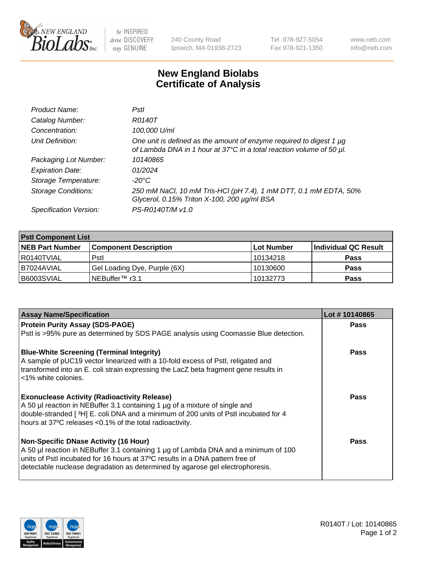

be INSPIRED drive DISCOVERY stay GENUINE

240 County Road Ipswich, MA 01938-2723 Tel 978-927-5054 Fax 978-921-1350

www.neb.com info@neb.com

## **New England Biolabs Certificate of Analysis**

| Product Name:              | Pstl                                                                                                                                        |
|----------------------------|---------------------------------------------------------------------------------------------------------------------------------------------|
| Catalog Number:            | R0140T                                                                                                                                      |
| Concentration:             | 100,000 U/ml                                                                                                                                |
| Unit Definition:           | One unit is defined as the amount of enzyme required to digest 1 µg<br>of Lambda DNA in 1 hour at 37°C in a total reaction volume of 50 µl. |
| Packaging Lot Number:      | 10140865                                                                                                                                    |
| <b>Expiration Date:</b>    | 01/2024                                                                                                                                     |
| Storage Temperature:       | $-20^{\circ}$ C                                                                                                                             |
| <b>Storage Conditions:</b> | 250 mM NaCl, 10 mM Tris-HCl (pH 7.4), 1 mM DTT, 0.1 mM EDTA, 50%<br>Glycerol, 0.15% Triton X-100, 200 µg/ml BSA                             |
| Specification Version:     | PS-R0140T/M v1.0                                                                                                                            |

| <b>PstI Component List</b> |                              |            |                      |  |  |
|----------------------------|------------------------------|------------|----------------------|--|--|
| <b>NEB Part Number</b>     | <b>Component Description</b> | Lot Number | Individual QC Result |  |  |
| R0140TVIAL                 | Pstl                         | 10134218   | <b>Pass</b>          |  |  |
| B7024AVIAL                 | Gel Loading Dye, Purple (6X) | 10130600   | <b>Pass</b>          |  |  |
| B6003SVIAL                 | NEBuffer™ r3.1               | 10132773   | <b>Pass</b>          |  |  |

| <b>Assay Name/Specification</b>                                                                                                                                | Lot #10140865 |
|----------------------------------------------------------------------------------------------------------------------------------------------------------------|---------------|
| <b>Protein Purity Assay (SDS-PAGE)</b>                                                                                                                         | <b>Pass</b>   |
| Pstl is >95% pure as determined by SDS PAGE analysis using Coomassie Blue detection.                                                                           |               |
| <b>Blue-White Screening (Terminal Integrity)</b>                                                                                                               | <b>Pass</b>   |
| A sample of pUC19 vector linearized with a 10-fold excess of PstI, religated and                                                                               |               |
| transformed into an E. coli strain expressing the LacZ beta fragment gene results in<br><1% white colonies.                                                    |               |
| <b>Exonuclease Activity (Radioactivity Release)</b>                                                                                                            | Pass          |
| A 50 µl reaction in NEBuffer 3.1 containing 1 µg of a mixture of single and                                                                                    |               |
| double-stranded [3H] E. coli DNA and a minimum of 200 units of Pstl incubated for 4                                                                            |               |
| hours at 37°C releases <0.1% of the total radioactivity.                                                                                                       |               |
| <b>Non-Specific DNase Activity (16 Hour)</b>                                                                                                                   | Pass          |
| A 50 µl reaction in NEBuffer 3.1 containing 1 µg of Lambda DNA and a minimum of 100                                                                            |               |
| units of PstI incubated for 16 hours at 37°C results in a DNA pattern free of<br>detectable nuclease degradation as determined by agarose gel electrophoresis. |               |
|                                                                                                                                                                |               |